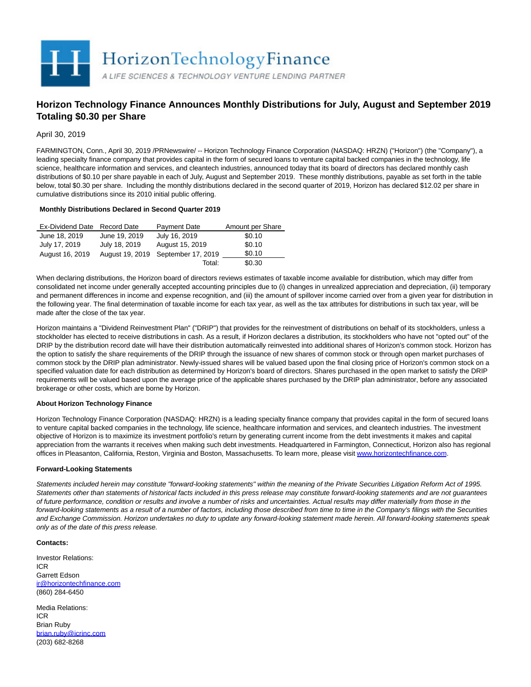

# **Horizon Technology Finance Announces Monthly Distributions for July, August and September 2019 Totaling \$0.30 per Share**

April 30, 2019

FARMINGTON, Conn., April 30, 2019 /PRNewswire/ -- Horizon Technology Finance Corporation (NASDAQ: HRZN) ("Horizon") (the "Company"), a leading specialty finance company that provides capital in the form of secured loans to venture capital backed companies in the technology, life science, healthcare information and services, and cleantech industries, announced today that its board of directors has declared monthly cash distributions of \$0.10 per share payable in each of July, August and September 2019. These monthly distributions, payable as set forth in the table below, total \$0.30 per share. Including the monthly distributions declared in the second quarter of 2019, Horizon has declared \$12.02 per share in cumulative distributions since its 2010 initial public offering.

## **Monthly Distributions Declared in Second Quarter 2019**

| Ex-Dividend Date Record Date |               | <b>Payment Date</b>                | Amount per Share |
|------------------------------|---------------|------------------------------------|------------------|
| June 18, 2019                | June 19, 2019 | July 16, 2019                      | \$0.10           |
| July 17, 2019                | July 18, 2019 | August 15, 2019                    | \$0.10           |
| August 16, 2019              |               | August 19, 2019 September 17, 2019 | \$0.10           |
|                              |               | Total:                             | \$0.30           |

When declaring distributions, the Horizon board of directors reviews estimates of taxable income available for distribution, which may differ from consolidated net income under generally accepted accounting principles due to (i) changes in unrealized appreciation and depreciation, (ii) temporary and permanent differences in income and expense recognition, and (iii) the amount of spillover income carried over from a given year for distribution in the following year. The final determination of taxable income for each tax year, as well as the tax attributes for distributions in such tax year, will be made after the close of the tax year.

Horizon maintains a "Dividend Reinvestment Plan" ("DRIP") that provides for the reinvestment of distributions on behalf of its stockholders, unless a stockholder has elected to receive distributions in cash. As a result, if Horizon declares a distribution, its stockholders who have not "opted out" of the DRIP by the distribution record date will have their distribution automatically reinvested into additional shares of Horizon's common stock. Horizon has the option to satisfy the share requirements of the DRIP through the issuance of new shares of common stock or through open market purchases of common stock by the DRIP plan administrator. Newly-issued shares will be valued based upon the final closing price of Horizon's common stock on a specified valuation date for each distribution as determined by Horizon's board of directors. Shares purchased in the open market to satisfy the DRIP requirements will be valued based upon the average price of the applicable shares purchased by the DRIP plan administrator, before any associated brokerage or other costs, which are borne by Horizon.

## **About Horizon Technology Finance**

Horizon Technology Finance Corporation (NASDAQ: HRZN) is a leading specialty finance company that provides capital in the form of secured loans to venture capital backed companies in the technology, life science, healthcare information and services, and cleantech industries. The investment objective of Horizon is to maximize its investment portfolio's return by generating current income from the debt investments it makes and capital appreciation from the warrants it receives when making such debt investments. Headquartered in Farmington, Connecticut, Horizon also has regional offices in Pleasanton, California, Reston, Virginia and Boston, Massachusetts. To learn more, please visit [www.horizontechfinance.com.](https://c212.net/c/link/?t=0&l=en&o=2451917-1&h=3726126411&u=http%3A%2F%2Fwww.horizontechfinance.com%2F&a=www.horizontechfinance.com)

#### **Forward-Looking Statements**

Statements included herein may constitute "forward-looking statements" within the meaning of the Private Securities Litigation Reform Act of 1995. Statements other than statements of historical facts included in this press release may constitute forward-looking statements and are not guarantees of future performance, condition or results and involve a number of risks and uncertainties. Actual results may differ materially from those in the forward-looking statements as a result of a number of factors, including those described from time to time in the Company's filings with the Securities and Exchange Commission. Horizon undertakes no duty to update any forward-looking statement made herein. All forward-looking statements speak only as of the date of this press release.

## **Contacts:**

Investor Relations: ICR Garrett Edson [ir@horizontechfinance.com](mailto:ir@horizontechfinance.com) (860) 284-6450

Media Relations: ICR Brian Ruby [brian.ruby@icrinc.com](mailto:brian.ruby@icrinc.com) (203) 682-8268